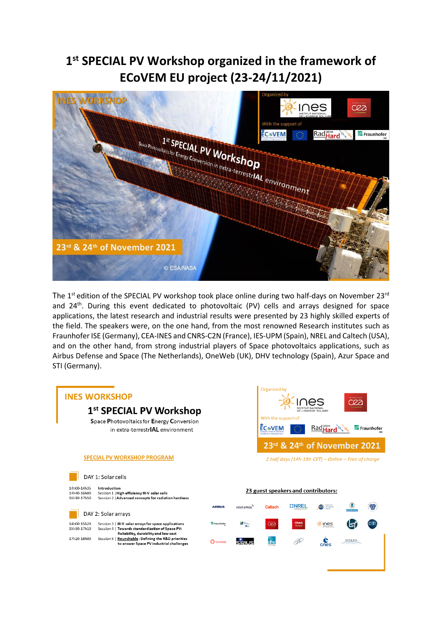## **1 st SPECIAL PV Workshop organized in the framework of ECoVEM EU project (23-24/11/2021)**



The 1<sup>st</sup> edition of the SPECIAL PV workshop took place online during two half-days on November 23<sup>rd</sup> and 24<sup>th</sup>. During this event dedicated to photovoltaic (PV) cells and arrays designed for space applications, the latest research and industrial results were presented by 23 highly skilled experts of the field. The speakers were, on the one hand, from the most renowned Research institutes such as Fraunhofer ISE (Germany), CEA-INES and CNRS-C2N (France), IES-UPM (Spain), NREL and Caltech (USA), and on the other hand, from strong industrial players of Space photovoltaics applications, such as Airbus Defense and Space (The Netherlands), OneWeb (UK), DHV technology (Spain), Azur Space and STI (Germany).

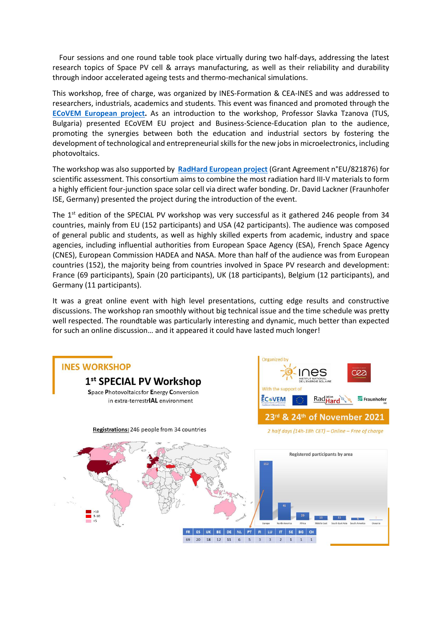Four sessions and one round table took place virtually during two half-days, addressing the latest research topics of Space PV cell & arrays manufacturing, as well as their reliability and durability through indoor accelerated ageing tests and thermo-mechanical simulations.

This workshop, free of charge, was organized by INES-Formation & CEA-INES and was addressed to researchers, industrials, academics and students. This event was financed and promoted through the **[ECoVEM](https://ecovem.eu/) [European project.](https://ecovem.eu/)** As an introduction to the workshop, Professor Slavka Tzanova (TUS, Bulgaria) presented ECoVEM EU project and Business-Science-Education plan to the audience, promoting the synergies between both the education and industrial sectors by fostering the development of technological and entrepreneurial skills for the new jobs in microelectronics, including photovoltaics.

The workshop was also supported by **[RadHard](https://radhard.org/) [European project](https://radhard.org/)** (Grant Agreement n°EU/821876) for scientific assessment. This consortium aims to combine the most radiation hard III-V materials to form a highly efficient four-junction space solar cell via direct wafer bonding. Dr. David Lackner (Fraunhofer ISE, Germany) presented the project during the introduction of the event.

The 1<sup>st</sup> edition of the SPECIAL PV workshop was very successful as it gathered 246 people from 34 countries, mainly from EU (152 participants) and USA (42 participants). The audience was composed of general public and students, as well as highly skilled experts from academic, industry and space agencies, including influential authorities from European Space Agency (ESA), French Space Agency (CNES), European Commission HADEA and NASA. More than half of the audience was from European countries (152), the majority being from countries involved in Space PV research and development: France (69 participants), Spain (20 participants), UK (18 participants), Belgium (12 participants), and Germany (11 participants).

It was a great online event with high level presentations, cutting edge results and constructive discussions. The workshop ran smoothly without big technical issue and the time schedule was pretty well respected. The roundtable was particularly interesting and dynamic, much better than expected for such an online discussion… and it appeared it could have lasted much longer!